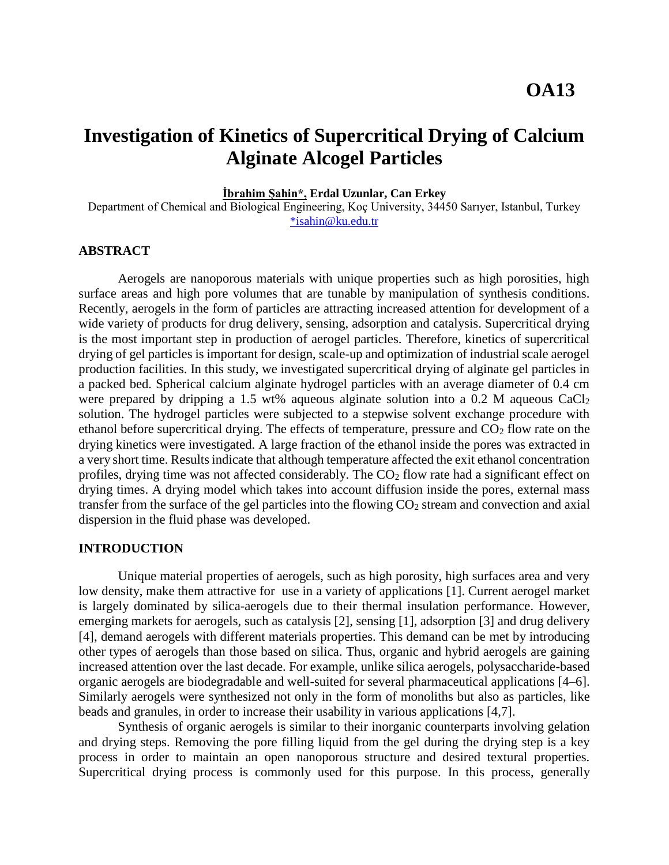# **Investigation of Kinetics of Supercritical Drying of Calcium Alginate Alcogel Particles**

**İbrahim Şahin\*, Erdal Uzunlar, Can Erkey**

Department of Chemical and Biological Engineering, Koç University, 34450 Sarıyer, Istanbul, Turkey [\\*isahin@ku.edu.tr](mailto:*isahin@ku.edu.tr)

## **ABSTRACT**

Aerogels are nanoporous materials with unique properties such as high porosities, high surface areas and high pore volumes that are tunable by manipulation of synthesis conditions. Recently, aerogels in the form of particles are attracting increased attention for development of a wide variety of products for drug delivery, sensing, adsorption and catalysis. Supercritical drying is the most important step in production of aerogel particles. Therefore, kinetics of supercritical drying of gel particles is important for design, scale-up and optimization of industrial scale aerogel production facilities. In this study, we investigated supercritical drying of alginate gel particles in a packed bed. Spherical calcium alginate hydrogel particles with an average diameter of 0.4 cm were prepared by dripping a 1.5 wt% aqueous alginate solution into a 0.2 M aqueous CaCl<sub>2</sub> solution. The hydrogel particles were subjected to a stepwise solvent exchange procedure with ethanol before supercritical drying. The effects of temperature, pressure and  $CO<sub>2</sub>$  flow rate on the drying kinetics were investigated. A large fraction of the ethanol inside the pores was extracted in a very short time. Results indicate that although temperature affected the exit ethanol concentration profiles, drying time was not affected considerably. The  $CO<sub>2</sub>$  flow rate had a significant effect on drying times. A drying model which takes into account diffusion inside the pores, external mass transfer from the surface of the gel particles into the flowing  $CO<sub>2</sub>$  stream and convection and axial dispersion in the fluid phase was developed.

## **INTRODUCTION**

Unique material properties of aerogels, such as high porosity, high surfaces area and very low density, make them attractive for use in a variety of applications [1]. Current aerogel market is largely dominated by silica-aerogels due to their thermal insulation performance. However, emerging markets for aerogels, such as catalysis [2], sensing [1], adsorption [3] and drug delivery [4], demand aerogels with different materials properties. This demand can be met by introducing other types of aerogels than those based on silica. Thus, organic and hybrid aerogels are gaining increased attention over the last decade. For example, unlike silica aerogels, polysaccharide-based organic aerogels are biodegradable and well-suited for several pharmaceutical applications [4–6]. Similarly aerogels were synthesized not only in the form of monoliths but also as particles, like beads and granules, in order to increase their usability in various applications [4,7].

Synthesis of organic aerogels is similar to their inorganic counterparts involving gelation and drying steps. Removing the pore filling liquid from the gel during the drying step is a key process in order to maintain an open nanoporous structure and desired textural properties. Supercritical drying process is commonly used for this purpose. In this process, generally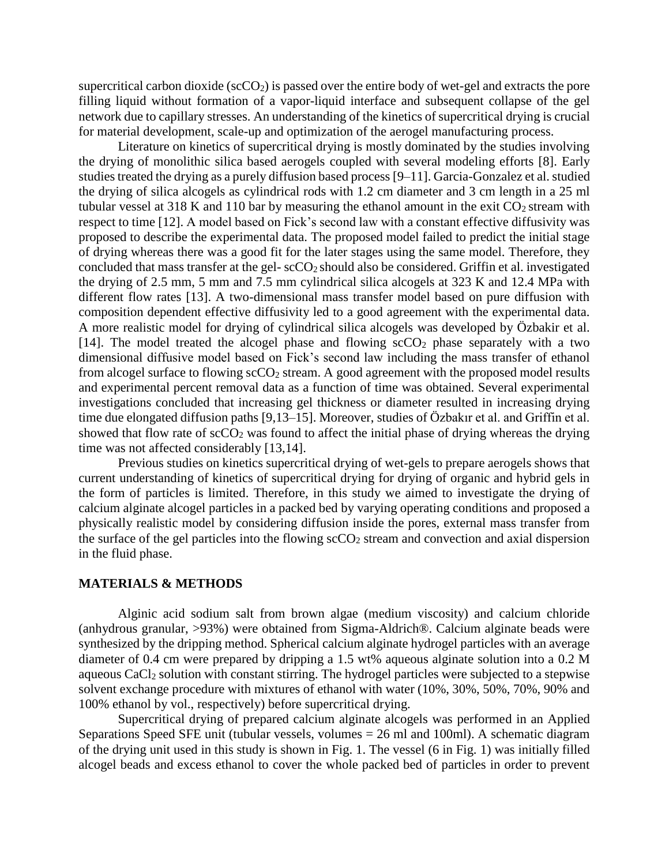supercritical carbon dioxide ( $\sec O_2$ ) is passed over the entire body of wet-gel and extracts the pore filling liquid without formation of a vapor-liquid interface and subsequent collapse of the gel network due to capillary stresses. An understanding of the kinetics of supercritical drying is crucial for material development, scale-up and optimization of the aerogel manufacturing process.

Literature on kinetics of supercritical drying is mostly dominated by the studies involving the drying of monolithic silica based aerogels coupled with several modeling efforts [8]. Early studies treated the drying as a purely diffusion based process [9–11]. Garcia-Gonzalez et al. studied the drying of silica alcogels as cylindrical rods with 1.2 cm diameter and 3 cm length in a 25 ml tubular vessel at 318 K and 110 bar by measuring the ethanol amount in the exit  $CO<sub>2</sub>$  stream with respect to time [12]. A model based on Fick's second law with a constant effective diffusivity was proposed to describe the experimental data. The proposed model failed to predict the initial stage of drying whereas there was a good fit for the later stages using the same model. Therefore, they concluded that mass transfer at the gel-  $\frac{\text{cCO}_2}{\text{s}}$  should also be considered. Griffin et al. investigated the drying of 2.5 mm, 5 mm and 7.5 mm cylindrical silica alcogels at 323 K and 12.4 MPa with different flow rates [13]. A two-dimensional mass transfer model based on pure diffusion with composition dependent effective diffusivity led to a good agreement with the experimental data. A more realistic model for drying of cylindrical silica alcogels was developed by Özbakir et al. [14]. The model treated the alcogel phase and flowing  $\sec O_2$  phase separately with a two dimensional diffusive model based on Fick's second law including the mass transfer of ethanol from alcogel surface to flowing  $\sec O_2$  stream. A good agreement with the proposed model results and experimental percent removal data as a function of time was obtained. Several experimental investigations concluded that increasing gel thickness or diameter resulted in increasing drying time due elongated diffusion paths [9,13–15]. Moreover, studies of Özbakır et al. and Griffin et al. showed that flow rate of  $\sec O_2$  was found to affect the initial phase of drying whereas the drying time was not affected considerably [13,14].

Previous studies on kinetics supercritical drying of wet-gels to prepare aerogels shows that current understanding of kinetics of supercritical drying for drying of organic and hybrid gels in the form of particles is limited. Therefore, in this study we aimed to investigate the drying of calcium alginate alcogel particles in a packed bed by varying operating conditions and proposed a physically realistic model by considering diffusion inside the pores, external mass transfer from the surface of the gel particles into the flowing  $\sec O_2$  stream and convection and axial dispersion in the fluid phase.

# **MATERIALS & METHODS**

Alginic acid sodium salt from brown algae (medium viscosity) and calcium chloride (anhydrous granular, >93%) were obtained from Sigma-Aldrich®. Calcium alginate beads were synthesized by the dripping method. Spherical calcium alginate hydrogel particles with an average diameter of 0.4 cm were prepared by dripping a 1.5 wt% aqueous alginate solution into a 0.2 M aqueous CaCl<sub>2</sub> solution with constant stirring. The hydrogel particles were subjected to a stepwise solvent exchange procedure with mixtures of ethanol with water (10%, 30%, 50%, 70%, 90% and 100% ethanol by vol., respectively) before supercritical drying.

Supercritical drying of prepared calcium alginate alcogels was performed in an Applied Separations Speed SFE unit (tubular vessels, volumes = 26 ml and 100ml). A schematic diagram of the drying unit used in this study is shown in Fig. 1. The vessel (6 in Fig. 1) was initially filled alcogel beads and excess ethanol to cover the whole packed bed of particles in order to prevent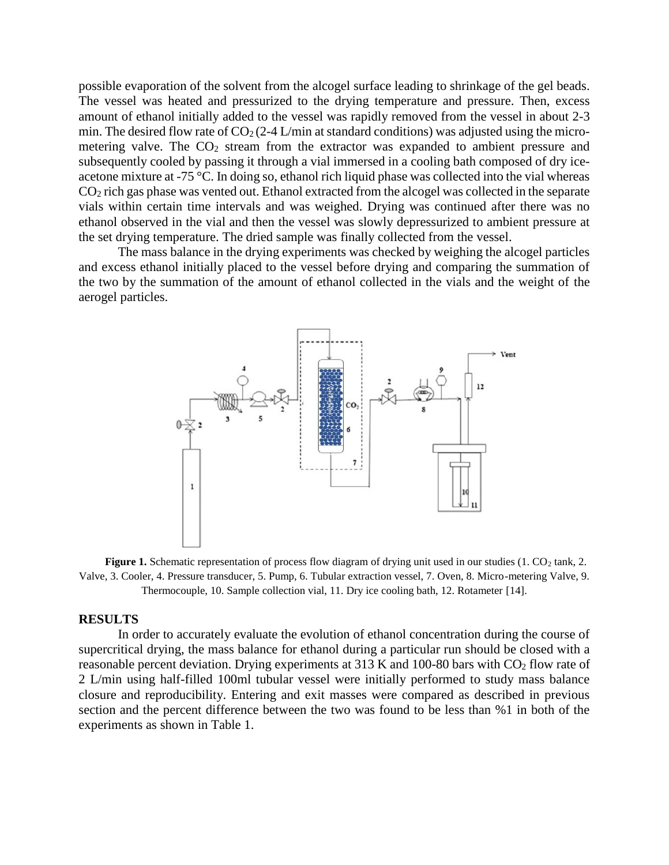possible evaporation of the solvent from the alcogel surface leading to shrinkage of the gel beads. The vessel was heated and pressurized to the drying temperature and pressure. Then, excess amount of ethanol initially added to the vessel was rapidly removed from the vessel in about 2-3 min. The desired flow rate of  $CO<sub>2</sub>(2-4 L/min)$  at standard conditions) was adjusted using the micrometering valve. The  $CO<sub>2</sub>$  stream from the extractor was expanded to ambient pressure and subsequently cooled by passing it through a vial immersed in a cooling bath composed of dry iceacetone mixture at -75 °C. In doing so, ethanol rich liquid phase was collected into the vial whereas CO<sup>2</sup> rich gas phase was vented out. Ethanol extracted from the alcogel was collected in the separate vials within certain time intervals and was weighed. Drying was continued after there was no ethanol observed in the vial and then the vessel was slowly depressurized to ambient pressure at the set drying temperature. The dried sample was finally collected from the vessel.

The mass balance in the drying experiments was checked by weighing the alcogel particles and excess ethanol initially placed to the vessel before drying and comparing the summation of the two by the summation of the amount of ethanol collected in the vials and the weight of the aerogel particles.



**Figure 1.** Schematic representation of process flow diagram of drying unit used in our studies  $(1. \text{CO}_2 \text{ tank}, 2.$ Valve, 3. Cooler, 4. Pressure transducer, 5. Pump, 6. Tubular extraction vessel, 7. Oven, 8. Micro-metering Valve, 9. Thermocouple, 10. Sample collection vial, 11. Dry ice cooling bath, 12. Rotameter [14].

#### **RESULTS**

In order to accurately evaluate the evolution of ethanol concentration during the course of supercritical drying, the mass balance for ethanol during a particular run should be closed with a reasonable percent deviation. Drying experiments at 313 K and 100-80 bars with CO<sub>2</sub> flow rate of 2 L/min using half-filled 100ml tubular vessel were initially performed to study mass balance closure and reproducibility. Entering and exit masses were compared as described in previous section and the percent difference between the two was found to be less than %1 in both of the experiments as shown in Table 1.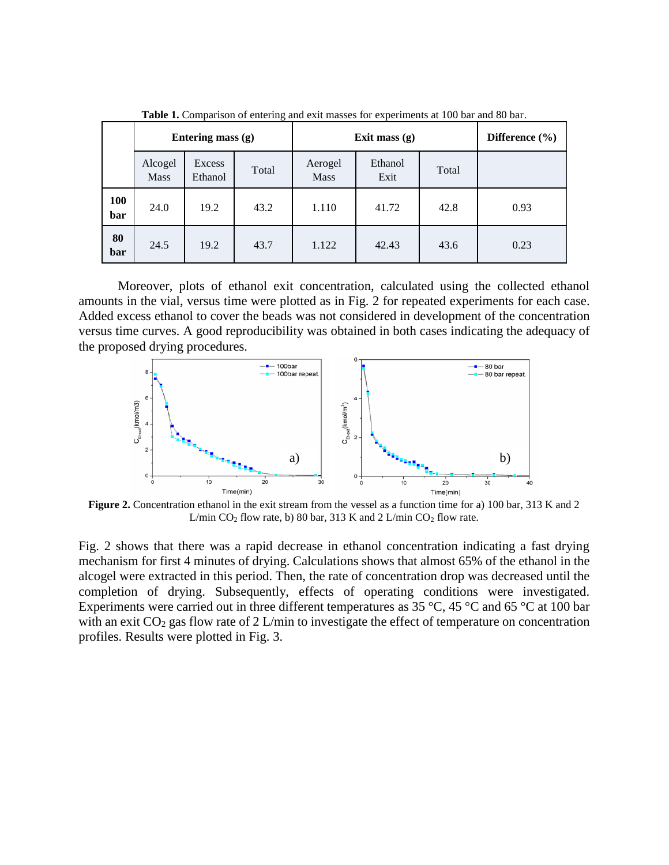|            | $\tilde{\phantom{a}}$<br>Entering mass (g) |                   |       | Exit mass $(g)$        |                 |       | Difference $(\% )$ |
|------------|--------------------------------------------|-------------------|-------|------------------------|-----------------|-------|--------------------|
|            | Alcogel<br><b>Mass</b>                     | Excess<br>Ethanol | Total | Aerogel<br><b>Mass</b> | Ethanol<br>Exit | Total |                    |
| 100<br>bar | 24.0                                       | 19.2              | 43.2  | 1.110                  | 41.72           | 42.8  | 0.93               |
| 80<br>bar  | 24.5                                       | 19.2              | 43.7  | 1.122                  | 42.43           | 43.6  | 0.23               |

**Table 1.** Comparison of entering and exit masses for experiments at 100 bar and 80 bar.

Moreover, plots of ethanol exit concentration, calculated using the collected ethanol amounts in the vial, versus time were plotted as in Fig. 2 for repeated experiments for each case. Added excess ethanol to cover the beads was not considered in development of the concentration versus time curves. A good reproducibility was obtained in both cases indicating the adequacy of the proposed drying procedures.



**Figure 2.** Concentration ethanol in the exit stream from the vessel as a function time for a) 100 bar, 313 K and 2 L/min  $CO<sub>2</sub>$  flow rate, b) 80 bar, 313 K and 2 L/min  $CO<sub>2</sub>$  flow rate.

Fig. 2 shows that there was a rapid decrease in ethanol concentration indicating a fast drying mechanism for first 4 minutes of drying. Calculations shows that almost 65% of the ethanol in the alcogel were extracted in this period. Then, the rate of concentration drop was decreased until the completion of drying. Subsequently, effects of operating conditions were investigated. Experiments were carried out in three different temperatures as 35 °C, 45 °C and 65 °C at 100 bar with an exit  $CO<sub>2</sub>$  gas flow rate of 2 L/min to investigate the effect of temperature on concentration profiles. Results were plotted in Fig. 3.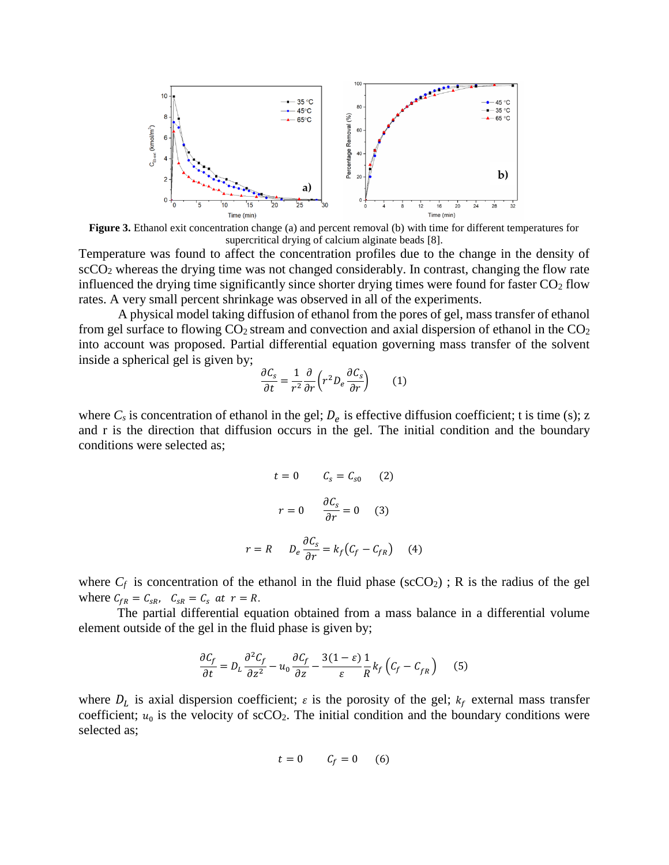

**Figure 3.** Ethanol exit concentration change (a) and percent removal (b) with time for different temperatures for supercritical drying of calcium alginate beads [8].

Temperature was found to affect the concentration profiles due to the change in the density of scCO<sub>2</sub> whereas the drying time was not changed considerably. In contrast, changing the flow rate influenced the drying time significantly since shorter drying times were found for faster  $CO<sub>2</sub>$  flow rates. A very small percent shrinkage was observed in all of the experiments.

A physical model taking diffusion of ethanol from the pores of gel, mass transfer of ethanol from gel surface to flowing  $CO_2$  stream and convection and axial dispersion of ethanol in the  $CO_2$ into account was proposed. Partial differential equation governing mass transfer of the solvent inside a spherical gel is given by;

$$
\frac{\partial C_s}{\partial t} = \frac{1}{r^2} \frac{\partial}{\partial r} \left( r^2 D_e \frac{\partial C_s}{\partial r} \right) \tag{1}
$$

where  $C_s$  is concentration of ethanol in the gel;  $D_e$  is effective diffusion coefficient; t is time (s); z and r is the direction that diffusion occurs in the gel. The initial condition and the boundary conditions were selected as;

$$
t = 0 \t C_s = C_{s0} \t (2)
$$

$$
r = 0 \t \frac{\partial C_s}{\partial r} = 0 \t (3)
$$

$$
r = R \t D_e \frac{\partial C_s}{\partial r} = k_f (C_f - C_{fR}) \t (4)
$$

where  $C_f$  is concentration of the ethanol in the fluid phase ( $\sec CO_2$ ); R is the radius of the gel where  $C_{fR} = C_{SR}$ ,  $C_{SR} = C_S$  at  $r = R$ .

The partial differential equation obtained from a mass balance in a differential volume element outside of the gel in the fluid phase is given by;

$$
\frac{\partial C_f}{\partial t} = D_L \frac{\partial^2 C_f}{\partial z^2} - u_0 \frac{\partial C_f}{\partial z} - \frac{3(1 - \varepsilon)}{\varepsilon} \frac{1}{R} k_f \left( C_f - C_{fR} \right) \tag{5}
$$

where  $D_L$  is axial dispersion coefficient;  $\varepsilon$  is the porosity of the gel;  $k_f$  external mass transfer coefficient;  $u_0$  is the velocity of scCO<sub>2</sub>. The initial condition and the boundary conditions were selected as;

$$
t = 0 \qquad \mathcal{C}_f = 0 \qquad (6)
$$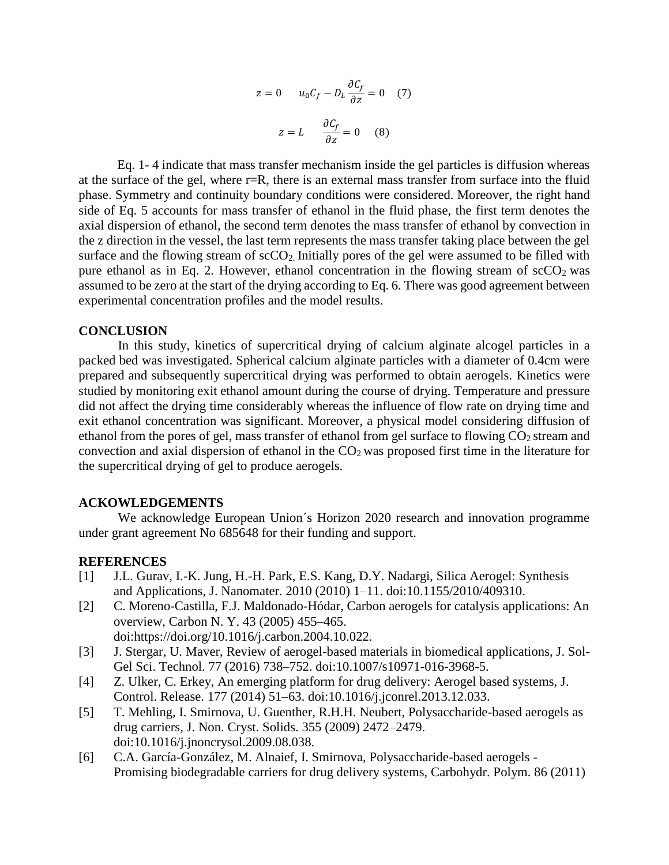$$
z = 0 \t u_0 C_f - D_L \frac{\partial C_f}{\partial z} = 0 \t(7)
$$

$$
z = L \frac{\partial C_f}{\partial z} = 0 \t(8)
$$

Eq. 1- 4 indicate that mass transfer mechanism inside the gel particles is diffusion whereas at the surface of the gel, where r=R, there is an external mass transfer from surface into the fluid phase. Symmetry and continuity boundary conditions were considered. Moreover, the right hand side of Eq. 5 accounts for mass transfer of ethanol in the fluid phase, the first term denotes the axial dispersion of ethanol, the second term denotes the mass transfer of ethanol by convection in the z direction in the vessel, the last term represents the mass transfer taking place between the gel surface and the flowing stream of  $\sec O_2$ . Initially pores of the gel were assumed to be filled with pure ethanol as in Eq. 2. However, ethanol concentration in the flowing stream of  $\sec O_2$  was assumed to be zero at the start of the drying according to Eq. 6. There was good agreement between experimental concentration profiles and the model results.

## **CONCLUSION**

In this study, kinetics of supercritical drying of calcium alginate alcogel particles in a packed bed was investigated. Spherical calcium alginate particles with a diameter of 0.4cm were prepared and subsequently supercritical drying was performed to obtain aerogels. Kinetics were studied by monitoring exit ethanol amount during the course of drying. Temperature and pressure did not affect the drying time considerably whereas the influence of flow rate on drying time and exit ethanol concentration was significant. Moreover, a physical model considering diffusion of ethanol from the pores of gel, mass transfer of ethanol from gel surface to flowing  $CO<sub>2</sub>$  stream and convection and axial dispersion of ethanol in the  $CO<sub>2</sub>$  was proposed first time in the literature for the supercritical drying of gel to produce aerogels.

#### **ACKOWLEDGEMENTS**

We acknowledge European Union´s Horizon 2020 research and innovation programme under grant agreement No 685648 for their funding and support.

### **REFERENCES**

- [1] J.L. Gurav, I.-K. Jung, H.-H. Park, E.S. Kang, D.Y. Nadargi, Silica Aerogel: Synthesis and Applications, J. Nanomater. 2010 (2010) 1–11. doi:10.1155/2010/409310.
- [2] C. Moreno-Castilla, F.J. Maldonado-Hódar, Carbon aerogels for catalysis applications: An overview, Carbon N. Y. 43 (2005) 455–465. doi:https://doi.org/10.1016/j.carbon.2004.10.022.
- [3] J. Stergar, U. Maver, Review of aerogel-based materials in biomedical applications, J. Sol-Gel Sci. Technol. 77 (2016) 738–752. doi:10.1007/s10971-016-3968-5.
- [4] Z. Ulker, C. Erkey, An emerging platform for drug delivery: Aerogel based systems, J. Control. Release. 177 (2014) 51–63. doi:10.1016/j.jconrel.2013.12.033.
- [5] T. Mehling, I. Smirnova, U. Guenther, R.H.H. Neubert, Polysaccharide-based aerogels as drug carriers, J. Non. Cryst. Solids. 355 (2009) 2472–2479. doi:10.1016/j.jnoncrysol.2009.08.038.
- [6] C.A. García-González, M. Alnaief, I. Smirnova, Polysaccharide-based aerogels Promising biodegradable carriers for drug delivery systems, Carbohydr. Polym. 86 (2011)